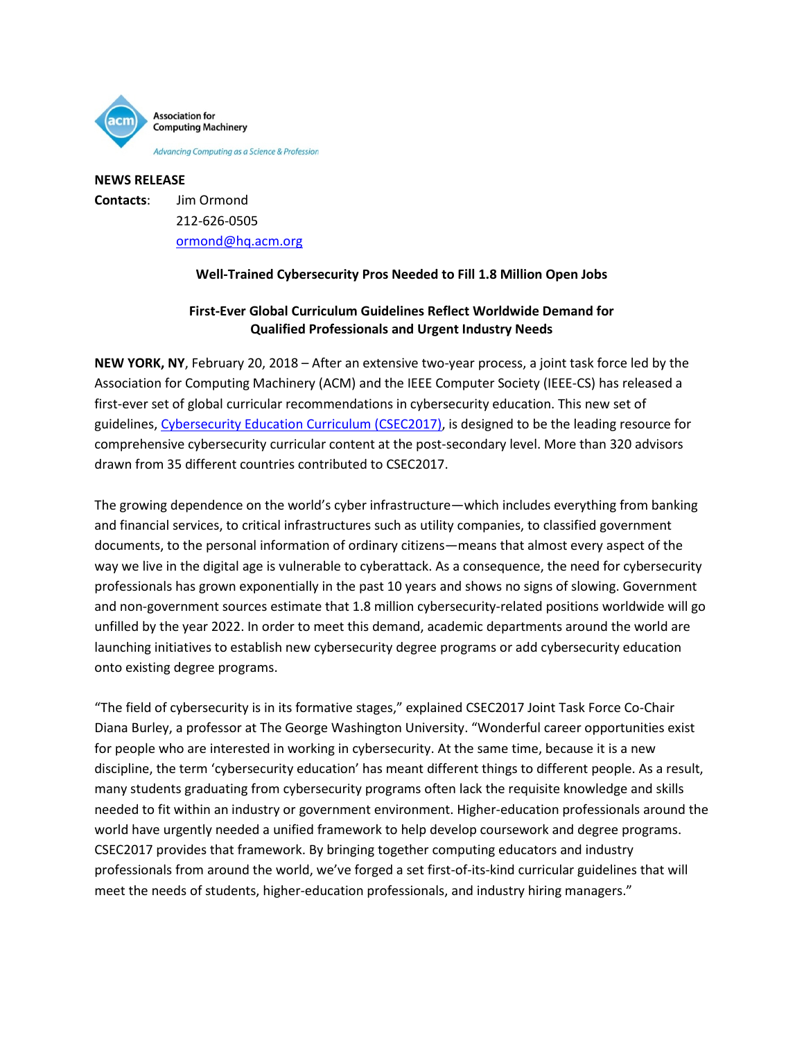

**NEWS RELEASE Contacts**: Jim Ormond 212-626-0505 [ormond@hq.acm.org](mailto:ormond@hq.acm.org)

## **Well-Trained Cybersecurity Pros Needed to Fill 1.8 Million Open Jobs**

## **First-Ever Global Curriculum Guidelines Reflect Worldwide Demand for Qualified Professionals and Urgent Industry Needs**

**NEW YORK, NY**, February 20, 2018 – After an extensive two-year process, a joint task force led by the Association for Computing Machinery (ACM) and the IEEE Computer Society (IEEE-CS) has released a first-ever set of global curricular recommendations in cybersecurity education. This new set of guidelines[, Cybersecurity Education Curriculum \(CSEC2017\),](https://www.acm.org/binaries/content/assets/education/curricula-recommendations/csec2017.pdf) is designed to be the leading resource for comprehensive cybersecurity curricular content at the post-secondary level. More than 320 advisors drawn from 35 different countries contributed to CSEC2017.

The growing dependence on the world's cyber infrastructure—which includes everything from banking and financial services, to critical infrastructures such as utility companies, to classified government documents, to the personal information of ordinary citizens—means that almost every aspect of the way we live in the digital age is vulnerable to cyberattack. As a consequence, the need for cybersecurity professionals has grown exponentially in the past 10 years and shows no signs of slowing. Government and non-government sources estimate that 1.8 million cybersecurity-related positions worldwide will go unfilled by the year 2022. In order to meet this demand, academic departments around the world are launching initiatives to establish new cybersecurity degree programs or add cybersecurity education onto existing degree programs.

"The field of cybersecurity is in its formative stages," explained CSEC2017 Joint Task Force Co-Chair Diana Burley, a professor at The George Washington University. "Wonderful career opportunities exist for people who are interested in working in cybersecurity. At the same time, because it is a new discipline, the term 'cybersecurity education' has meant different things to different people. As a result, many students graduating from cybersecurity programs often lack the requisite knowledge and skills needed to fit within an industry or government environment. Higher-education professionals around the world have urgently needed a unified framework to help develop coursework and degree programs. CSEC2017 provides that framework. By bringing together computing educators and industry professionals from around the world, we've forged a set first-of-its-kind curricular guidelines that will meet the needs of students, higher-education professionals, and industry hiring managers."